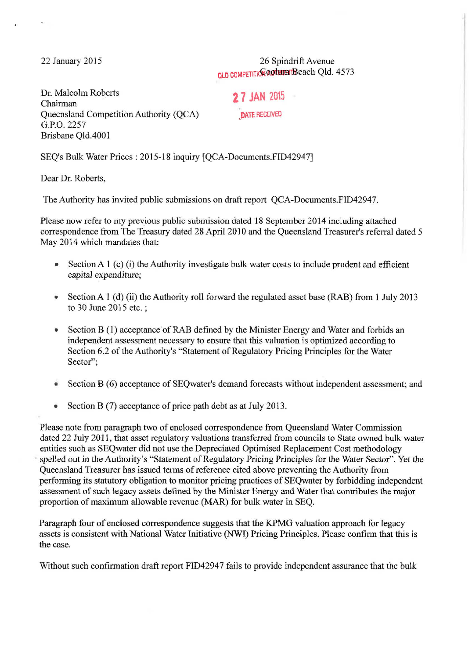22 January 2015

26 Spindrift Avenue QLD COMPETITION QUOTHUM Beach Qld. 4573

Dr. Malcolm Roberts Chairman Queensland Competition Authority (QCA) G.P.O. 2257 Brisbane Qld.4001

**2 7 JAN 2015** 

,DATE RECEIVED

SEQ's Bulk Water Prices: 2015-18 inquiry [QCA-Documents.FID42947]

Dear Dr. Roberts,

The Authority has invited public submissions on draft report QCA-Documents.FID42947.

Please now refer to my previous public submission dated 18 September 2014 including attached correspondence from The Treasury dated 28 April 2010 and the Queensland Treasurer's referral dated 5 May 2014 which mandates that:

- Section A 1 (c) (i) the Authority investigate bulk water costs to include prudent and efficient *capital* expenditure;
- Section A 1 (d) (ii) the Authority roll forward the regulated asset base (RAB) from 1 July 2013 to 30 June 2015 etc. ;
- Section B (1) acceptance of RAB defined by the Minister Energy and Water and forbids an independent assessment necessary to ensure that this valuation is optimized according to Section 6.2 of the Authority's "Statement of Regulatory Pricing Principles for the Water Sector";
- Section B (6) acceptance of SEQwater's demand forecasts without independent assessment; and
- Section B (7) acceptance of price path debt as at July 2013.

Please note from paragraph two of enclosed correspondence from Queensland Water Commission dated 22 July 2011, that asset regulatory valuations transferred from councils to State owned bulk water entities such as SEQwater did not use the Depreciated Optimised Replacement Cost methodology spelled out in the Authority's "Statement of Regulatory Pricing Principles for the Water Sector". Yet the Queensland Treasurer has issued terms of reference cited above preventing the Authority from performing its statutory obligation to monitor pricing practices of SEQwater by forbidding independent assessment of such legacy assets defined by the Minister Energy and Water that contributes the major proportion of maximum allowable revenue (MAR) for bulk water in SEQ.

Paragraph four of enclosed correspondence suggests that the KPMG valuation approach for legacy assets is consistent with National Water Initiative (NWD Pricing Principles. Please confirm that this is the case.

Without such confirmation draft report FID42947 fails to provide independent assurance that the bulk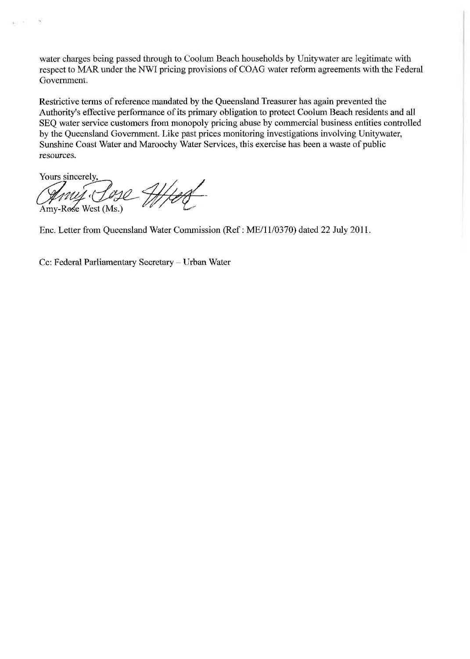water charges being passed through to Coolum Beach households by Unitywater are legitimate with respect to MAR under the NWI pricing provisions of COAG water reform agreements with the Federal Government.

Restrictive terms of reference mandated by the Queensland Treasurer has again prevented the Authority's effective performance of its primary obligation to protect Coolum Beach residents and all SEQ water service customers from monopoly pricing abuse by commercial business entities controlled by the Queensland Government. Like past prices monitoring investigations involving Unitywater, Sunshine Coast Water and Maroochy Water Services, this exercise has been a waste of public resources.

Yours sincerely,<br>*Anuy-Coy*<br>Amy-Rose West (Ms.)

Enc. Letter from Queensland Water Commission (Ref: ME/1110370) dated 22 July 2011.

Cc: Federal Parliamentary Secretary - Urban Water